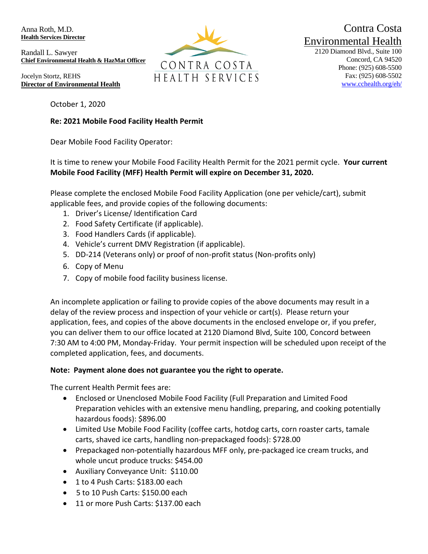Anna Roth, M.D. **Health Services Director**

Randall L. Sawyer **Chief Environmental Health & HazMat Officer**

Jocelyn Stortz, REHS **Director of Environmental Health**

October 1, 2020

## **Re: 2021 Mobile Food Facility Health Permit**

Dear Mobile Food Facility Operator:

It is time to renew your Mobile Food Facility Health Permit for the 2021 permit cycle. **Your current Mobile Food Facility (MFF) Health Permit will expire on December 31, 2020.**

Please complete the enclosed Mobile Food Facility Application (one per vehicle/cart), submit applicable fees, and provide copies of the following documents:

- 1. Driver's License/ Identification Card
- 2. Food Safety Certificate (if applicable).
- 3. Food Handlers Cards (if applicable).
- 4. Vehicle's current DMV Registration (if applicable).
- 5. DD-214 (Veterans only) or proof of non-profit status (Non-profits only)
- 6. Copy of Menu
- 7. Copy of mobile food facility business license.

An incomplete application or failing to provide copies of the above documents may result in a delay of the review process and inspection of your vehicle or cart(s). Please return your application, fees, and copies of the above documents in the enclosed envelope or, if you prefer, you can deliver them to our office located at 2120 Diamond Blvd, Suite 100, Concord between 7:30 AM to 4:00 PM, Monday-Friday. Your permit inspection will be scheduled upon receipt of the completed application, fees, and documents.

## **Note: Payment alone does not guarantee you the right to operate.**

The current Health Permit fees are:

- Enclosed or Unenclosed Mobile Food Facility (Full Preparation and Limited Food Preparation vehicles with an extensive menu handling, preparing, and cooking potentially hazardous foods): \$896.00
- Limited Use Mobile Food Facility (coffee carts, hotdog carts, corn roaster carts, tamale carts, shaved ice carts, handling non-prepackaged foods): \$728.00
- Prepackaged non-potentially hazardous MFF only, pre-packaged ice cream trucks, and whole uncut produce trucks: \$454.00
- Auxiliary Conveyance Unit: \$110.00
- 1 to 4 Push Carts: \$183.00 each
- 5 to 10 Push Carts: \$150.00 each
- 11 or more Push Carts: \$137.00 each



Contra Costa Environmental Health

2120 Diamond Blvd., Suite 100 Concord, CA 94520 Phone: (925) 608-5500 Fax: (925) 608-5502 [www.cchealth.org/eh/](http://www.cchealth.org/eh/)